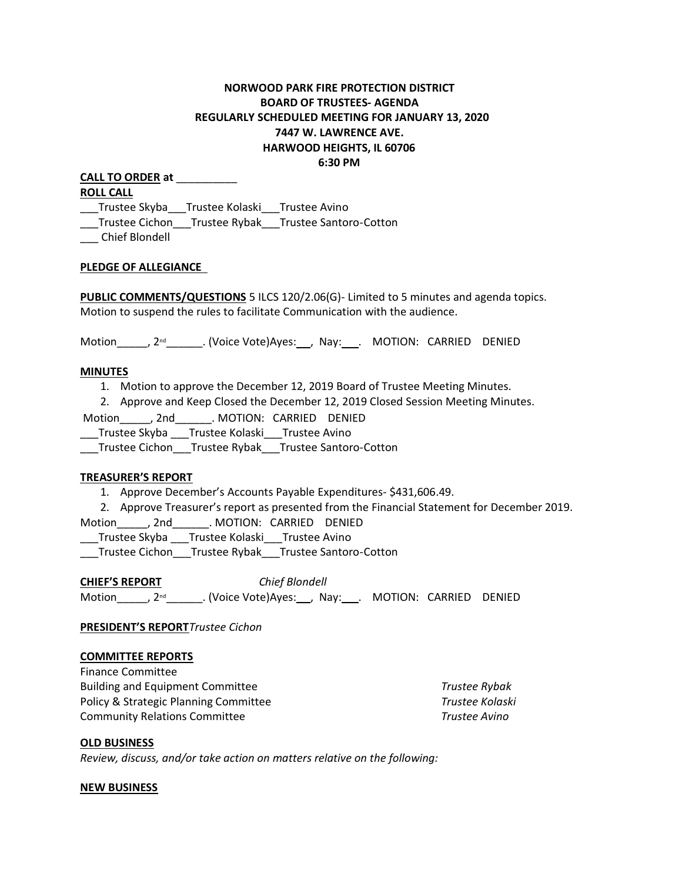# **NORWOOD PARK FIRE PROTECTION DISTRICT BOARD OF TRUSTEES- AGENDA REGULARLY SCHEDULED MEETING FOR JANUARY 13, 2020 7447 W. LAWRENCE AVE. HARWOOD HEIGHTS, IL 60706 6:30 PM**

| <b>CALL TO ORDER at</b>                        |  |                                                     |
|------------------------------------------------|--|-----------------------------------------------------|
| <b>ROLL CALL</b>                               |  |                                                     |
| __Trustee Skyba__Trustee Kolaski Trustee Avino |  |                                                     |
|                                                |  | Trustee Cichon Trustee Rybak Trustee Santoro-Cotton |
| --------                                       |  |                                                     |

\_\_\_ Chief Blondell

#### **PLEDGE OF ALLEGIANCE**

**PUBLIC COMMENTS/QUESTIONS** 5 ILCS 120/2.06(G)- Limited to 5 minutes and agenda topics. Motion to suspend the rules to facilitate Communication with the audience.

Motion\_\_\_\_, 2<sup>nd</sup>\_\_\_\_\_\_\_. (Voice Vote)Ayes:\_\_, Nay:\_\_\_. MOTION: CARRIED DENIED

#### **MINUTES**

1. Motion to approve the December 12, 2019 Board of Trustee Meeting Minutes.

2. Approve and Keep Closed the December 12, 2019 Closed Session Meeting Minutes.

Motion , 2nd . MOTION: CARRIED DENIED

\_\_\_Trustee Skyba \_\_\_Trustee Kolaski\_\_\_Trustee Avino

\_\_\_Trustee Cichon\_\_\_Trustee Rybak\_\_\_Trustee Santoro-Cotton

#### **TREASURER'S REPORT**

- 1. Approve December's Accounts Payable Expenditures- \$431,606.49.
- 2. Approve Treasurer's report as presented from the Financial Statement for December 2019.

Motion\_\_\_\_\_, 2nd\_\_\_\_\_\_. MOTION: CARRIED DENIED

\_\_\_Trustee Skyba \_\_\_Trustee Kolaski\_\_\_Trustee Avino

\_\_\_Trustee Cichon\_\_\_Trustee Rybak\_\_\_Trustee Santoro-Cotton

**CHIEF'S REPORT** *Chief Blondell* Motion\_\_\_\_\_, 2<sup>nd</sup>\_\_\_\_\_\_\_. (Voice Vote)Ayes: \_\_, Nay: \_\_\_. MOTION: CARRIED DENIED

**PRESIDENT'S REPORT***Trustee Cichon*

#### **COMMITTEE REPORTS**

Finance Committee Building and Equipment Committee *Trustee Rybak*  Policy & Strategic Planning Committee *Trustee Kolaski* Community Relations Committee *Trustee Avino* 

#### **OLD BUSINESS**

*Review, discuss, and/or take action on matters relative on the following:*

#### **NEW BUSINESS**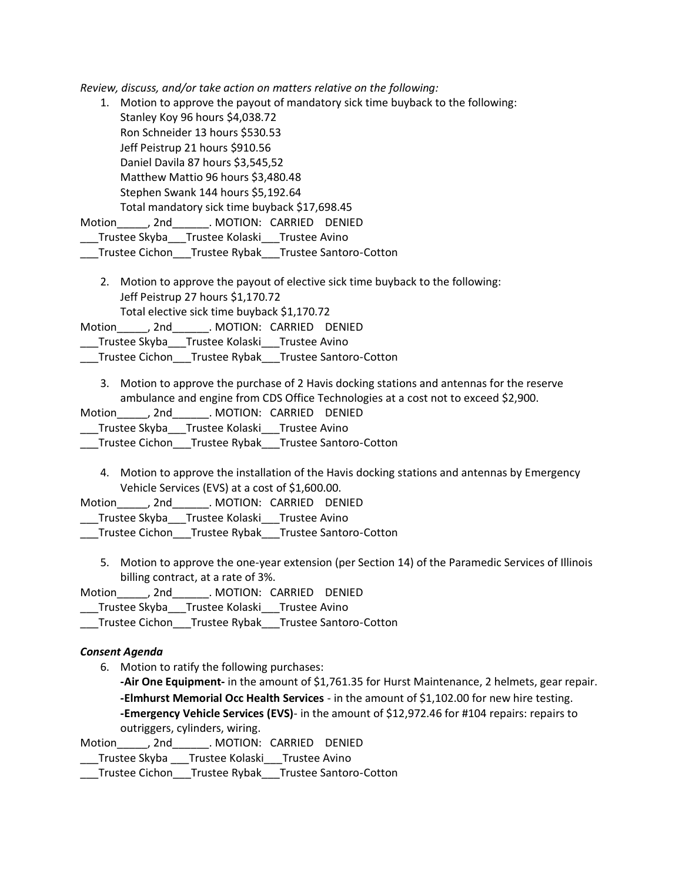*Review, discuss, and/or take action on matters relative on the following:*

1. Motion to approve the payout of mandatory sick time buyback to the following: Stanley Koy 96 hours \$4,038.72 Ron Schneider 13 hours \$530.53 Jeff Peistrup 21 hours \$910.56 Daniel Davila 87 hours \$3,545,52 Matthew Mattio 96 hours \$3,480.48 Stephen Swank 144 hours \$5,192.64 Total mandatory sick time buyback \$17,698.45 Motion and , 2nd . MOTION: CARRIED DENIED

Trustee Skyba Trustee Kolaski Trustee Avino

\_\_\_Trustee Cichon\_\_\_Trustee Rybak\_\_\_Trustee Santoro-Cotton

2. Motion to approve the payout of elective sick time buyback to the following: Jeff Peistrup 27 hours \$1,170.72 Total elective sick time buyback \$1,170.72

Motion , 2nd . MOTION: CARRIED DENIED

Trustee Skyba Trustee Kolaski Trustee Avino

\_\_\_Trustee Cichon\_\_\_Trustee Rybak\_\_\_Trustee Santoro-Cotton

3. Motion to approve the purchase of 2 Havis docking stations and antennas for the reserve ambulance and engine from CDS Office Technologies at a cost not to exceed \$2,900.

Motion , 2nd . MOTION: CARRIED DENIED

\_\_\_Trustee Skyba\_\_\_Trustee Kolaski\_\_\_Trustee Avino

\_\_\_Trustee Cichon\_\_\_Trustee Rybak\_\_\_Trustee Santoro-Cotton

4. Motion to approve the installation of the Havis docking stations and antennas by Emergency Vehicle Services (EVS) at a cost of \$1,600.00.

Motion\_\_\_\_\_, 2nd\_\_\_\_\_\_. MOTION: CARRIED DENIED

\_\_\_Trustee Skyba\_\_\_Trustee Kolaski\_\_\_Trustee Avino

- \_\_\_Trustee Cichon\_\_\_Trustee Rybak\_\_\_Trustee Santoro-Cotton
	- 5. Motion to approve the one-year extension (per Section 14) of the Paramedic Services of Illinois billing contract, at a rate of 3%.

Motion\_\_\_\_\_, 2nd\_\_\_\_\_\_. MOTION: CARRIED DENIED

\_\_\_Trustee Skyba\_\_\_Trustee Kolaski\_\_\_Trustee Avino

\_\_\_Trustee Cichon\_\_\_Trustee Rybak\_\_\_Trustee Santoro-Cotton

### *Consent Agenda*

6. Motion to ratify the following purchases:

**-Air One Equipment-** in the amount of \$1,761.35 for Hurst Maintenance, 2 helmets, gear repair. **-Elmhurst Memorial Occ Health Services** - in the amount of \$1,102.00 for new hire testing. **-Emergency Vehicle Services (EVS)**- in the amount of \$12,972.46 for #104 repairs: repairs to outriggers, cylinders, wiring.

Motion\_\_\_\_\_, 2nd\_\_\_\_\_\_. MOTION: CARRIED DENIED

\_\_\_Trustee Skyba \_\_\_Trustee Kolaski\_\_\_Trustee Avino

\_\_\_Trustee Cichon\_\_\_Trustee Rybak\_\_\_Trustee Santoro-Cotton